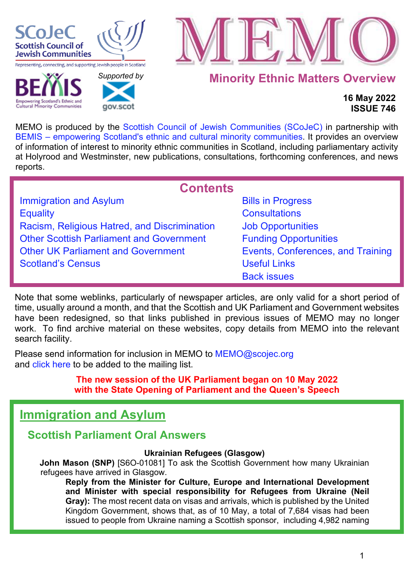

**Cultural Minority Communities** 

 *[Supported b](http://www.gov.scot/)y* 

gov.scot



**Minority Ethnic Matters Overview**

# **16 May 2022 ISSUE 746**

MEMO is produced by the [Scottish Council of Jewish Communities \(SCoJeC\)](https://www.scojec.org/index.html) in partnership with [BEMIS – empowering Scotland's ethnic and cultural minority communities.](https://bemis.org.uk/) It provides an overview of information of interest to minority ethnic communities in Scotland, including parliamentary activity at Holyrood and Westminster, new publications, consultations, forthcoming conferences, and news reports.

<span id="page-0-1"></span>

| <b>Contents</b>                                 |                                   |
|-------------------------------------------------|-----------------------------------|
| <b>Immigration and Asylum</b>                   | <b>Bills in Progress</b>          |
| <b>Equality</b>                                 | <b>Consultations</b>              |
| Racism, Religious Hatred, and Discrimination    | <b>Job Opportunities</b>          |
| <b>Other Scottish Parliament and Government</b> | <b>Funding Opportunities</b>      |
| <b>Other UK Parliament and Government</b>       | Events, Conferences, and Training |
| <b>Scotland's Census</b>                        | <b>Useful Links</b>               |
|                                                 | <b>Back issues</b>                |

Note that some weblinks, particularly of newspaper articles, are only valid for a short period of time, usually around a month, and that the Scottish and UK Parliament and Government websites have been redesigned, so that links published in previous issues of MEMO may no longer work. To find archive material on these websites, copy details from MEMO into the relevant search facility.

Please send information for inclusion in MEMO to MEMO@scojec.org and [click here](https://www.scojec.org/memo/subscribe/subscribe.html) to be added to the mailing list.

> **The new session of the UK Parliament began on 10 May 2022 with the State Opening of Parliament and the Queen's Speech**

# <span id="page-0-0"></span>**Immigration and Asylum**

# **Scottish Parliament Oral Answers**

# **Ukrainian Refugees (Glasgow)**

**John Mason (SNP)** [S6O-01081] To ask the Scottish Government how many Ukrainian refugees have arrived in Glasgow.

**Reply from the Minister for Culture, Europe and International Development and Minister with special responsibility for Refugees from Ukraine (Neil Gray):** The most recent data on visas and arrivals, which is published by the United Kingdom Government, shows that, as of 10 May, a total of 7,684 visas had been issued to people from Ukraine naming a Scottish sponsor, including 4,982 naming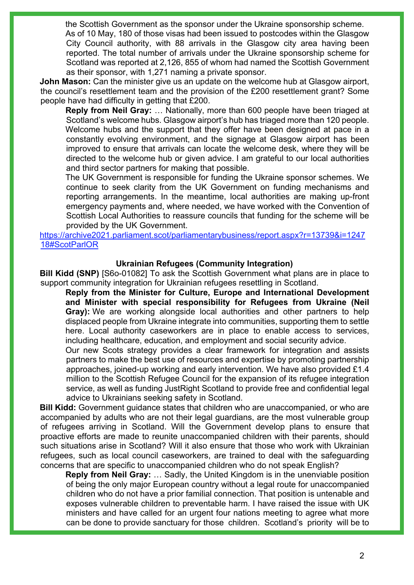the Scottish Government as the sponsor under the Ukraine sponsorship scheme. As of 10 May, 180 of those visas had been issued to postcodes within the Glasgow City Council authority, with 88 arrivals in the Glasgow city area having been reported. The total number of arrivals under the Ukraine sponsorship scheme for Scotland was reported at 2,126, 855 of whom had named the Scottish Government as their sponsor, with 1,271 naming a private sponsor.

**John Mason:** Can the minister give us an update on the welcome hub at Glasgow airport, the council's resettlement team and the provision of the £200 resettlement grant? Some people have had difficulty in getting that £200.

**Reply from Neil Gray:** … Nationally, more than 600 people have been triaged at Scotland's welcome hubs. Glasgow airport's hub has triaged more than 120 people. Welcome hubs and the support that they offer have been designed at pace in a constantly evolving environment, and the signage at Glasgow airport has been improved to ensure that arrivals can locate the welcome desk, where they will be directed to the welcome hub or given advice. I am grateful to our local authorities and third sector partners for making that possible.

The UK Government is responsible for funding the Ukraine sponsor schemes. We continue to seek clarity from the UK Government on funding mechanisms and reporting arrangements. In the meantime, local authorities are making up-front emergency payments and, where needed, we have worked with the Convention of Scottish Local Authorities to reassure councils that funding for the scheme will be provided by the UK Government.

[https://archive2021.parliament.scot/parliamentarybusiness/report.aspx?r=13739&i=1247](https://archive2021.parliament.scot/parliamentarybusiness/report.aspx?r=13739&i=124718#ScotParlOR) [18#ScotParlOR](https://archive2021.parliament.scot/parliamentarybusiness/report.aspx?r=13739&i=124718#ScotParlOR) 

#### **Ukrainian Refugees (Community Integration)**

**Bill Kidd (SNP)** [S6o-01082] To ask the Scottish Government what plans are in place to support community integration for Ukrainian refugees resettling in Scotland.

**Reply from the Minister for Culture, Europe and International Development and Minister with special responsibility for Refugees from Ukraine (Neil Gray):** We are working alongside local authorities and other partners to help displaced people from Ukraine integrate into communities, supporting them to settle here. Local authority caseworkers are in place to enable access to services, including healthcare, education, and employment and social security advice.

Our new Scots strategy provides a clear framework for integration and assists partners to make the best use of resources and expertise by promoting partnership approaches, joined-up working and early intervention. We have also provided £1.4 million to the Scottish Refugee Council for the expansion of its refugee integration service, as well as funding JustRight Scotland to provide free and confidential legal advice to Ukrainians seeking safety in Scotland.

**Bill Kidd:** Government guidance states that children who are unaccompanied, or who are accompanied by adults who are not their legal guardians, are the most vulnerable group of refugees arriving in Scotland. Will the Government develop plans to ensure that proactive efforts are made to reunite unaccompanied children with their parents, should such situations arise in Scotland? Will it also ensure that those who work with Ukrainian refugees, such as local council caseworkers, are trained to deal with the safeguarding concerns that are specific to unaccompanied children who do not speak English?

**Reply from Neil Gray:** … Sadly, the United Kingdom is in the unenviable position of being the only major European country without a legal route for unaccompanied children who do not have a prior familial connection. That position is untenable and exposes vulnerable children to preventable harm. I have raised the issue with UK ministers and have called for an urgent four nations meeting to agree what more can be done to provide sanctuary for those children. Scotland's priority will be to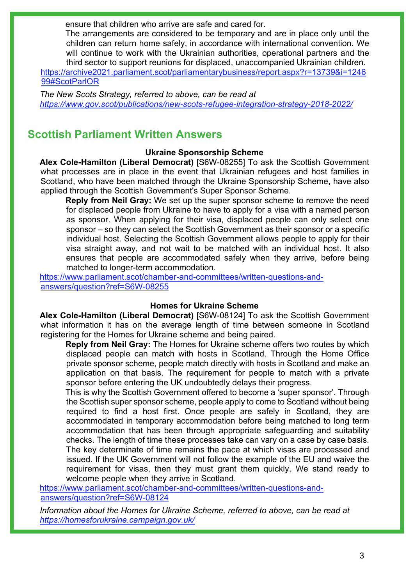ensure that children who arrive are safe and cared for.

The arrangements are considered to be temporary and are in place only until the children can return home safely, in accordance with international convention. We will continue to work with the Ukrainian authorities, operational partners and the third sector to support reunions for displaced, unaccompanied Ukrainian children.

[https://archive2021.parliament.scot/parliamentarybusiness/report.aspx?r=13739&i=1246](https://archive2021.parliament.scot/parliamentarybusiness/report.aspx?r=13739&i=124699#ScotParlOR) [99#ScotParlOR](https://archive2021.parliament.scot/parliamentarybusiness/report.aspx?r=13739&i=124699#ScotParlOR) 

*The New Scots Strategy, referred to above, can be read at <https://www.gov.scot/publications/new-scots-refugee-integration-strategy-2018-2022/>*

# **Scottish Parliament Written Answers**

# **Ukraine Sponsorship Scheme**

**Alex Cole-Hamilton (Liberal Democrat)** [S6W-08255] To ask the Scottish Government what processes are in place in the event that Ukrainian refugees and host families in Scotland, who have been matched through the Ukraine Sponsorship Scheme, have also applied through the Scottish Government's Super Sponsor Scheme.

**Reply from Neil Gray:** We set up the super sponsor scheme to remove the need for displaced people from Ukraine to have to apply for a visa with a named person as sponsor. When applying for their visa, displaced people can only select one sponsor – so they can select the Scottish Government as their sponsor or a specific individual host. Selecting the Scottish Government allows people to apply for their visa straight away, and not wait to be matched with an individual host. It also ensures that people are accommodated safely when they arrive, before being matched to longer-term accommodation.

[https://www.parliament.scot/chamber-and-committees/written-questions-and](https://www.parliament.scot/chamber-and-committees/written-questions-and-answers/question?ref=S6W-08255)[answers/question?ref=S6W-08255](https://www.parliament.scot/chamber-and-committees/written-questions-and-answers/question?ref=S6W-08255) 

### **Homes for Ukraine Scheme**

**Alex Cole-Hamilton (Liberal Democrat)** [S6W-08124] To ask the Scottish Government what information it has on the average length of time between someone in Scotland registering for the Homes for Ukraine scheme and being paired.

**Reply from Neil Gray:** The Homes for Ukraine scheme offers two routes by which displaced people can match with hosts in Scotland. Through the Home Office private sponsor scheme, people match directly with hosts in Scotland and make an application on that basis. The requirement for people to match with a private sponsor before entering the UK undoubtedly delays their progress.

This is why the Scottish Government offered to become a 'super sponsor'. Through the Scottish super sponsor scheme, people apply to come to Scotland without being required to find a host first. Once people are safely in Scotland, they are accommodated in temporary accommodation before being matched to long term accommodation that has been through appropriate safeguarding and suitability checks. The length of time these processes take can vary on a case by case basis. The key determinate of time remains the pace at which visas are processed and issued. If the UK Government will not follow the example of the EU and waive the requirement for visas, then they must grant them quickly. We stand ready to welcome people when they arrive in Scotland.

[https://www.parliament.scot/chamber-and-committees/written-questions-and](https://www.parliament.scot/chamber-and-committees/written-questions-and-answers/question?ref=S6W-08124)[answers/question?ref=S6W-08124](https://www.parliament.scot/chamber-and-committees/written-questions-and-answers/question?ref=S6W-08124)

*Information about the Homes for Ukraine Scheme, referred to above, can be read at <https://homesforukraine.campaign.gov.uk/>*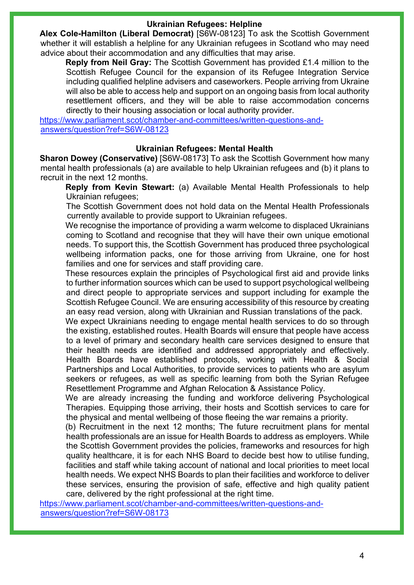### **Ukrainian Refugees: Helpline**

**Alex Cole-Hamilton (Liberal Democrat)** [S6W-08123] To ask the Scottish Government whether it will establish a helpline for any Ukrainian refugees in Scotland who may need advice about their accommodation and any difficulties that may arise.

**Reply from Neil Gray:** The Scottish Government has provided £1.4 million to the Scottish Refugee Council for the expansion of its Refugee Integration Service including qualified helpline advisers and caseworkers. People arriving from Ukraine will also be able to access help and support on an ongoing basis from local authority resettlement officers, and they will be able to raise accommodation concerns directly to their housing association or local authority provider.

[https://www.parliament.scot/chamber-and-committees/written-questions-and](https://www.parliament.scot/chamber-and-committees/written-questions-and-answers/question?ref=S6W-08123)[answers/question?ref=S6W-08123](https://www.parliament.scot/chamber-and-committees/written-questions-and-answers/question?ref=S6W-08123) 

# **Ukrainian Refugees: Mental Health**

**Sharon Dowey (Conservative)** [S6W-08173] To ask the Scottish Government how many mental health professionals (a) are available to help Ukrainian refugees and (b) it plans to recruit in the next 12 months.

**Reply from Kevin Stewart:** (a) Available Mental Health Professionals to help Ukrainian refugees;

The Scottish Government does not hold data on the Mental Health Professionals currently available to provide support to Ukrainian refugees.

We recognise the importance of providing a warm welcome to displaced Ukrainians coming to Scotland and recognise that they will have their own unique emotional needs. To support this, the Scottish Government has produced three psychological wellbeing information packs, one for those arriving from Ukraine, one for host families and one for services and staff providing care.

These resources explain the principles of Psychological first aid and provide links to further information sources which can be used to support psychological wellbeing and direct people to appropriate services and support including for example the Scottish Refugee Council. We are ensuring accessibility of this resource by creating an easy read version, along with Ukrainian and Russian translations of the pack.

We expect Ukrainians needing to engage mental health services to do so through the existing, established routes. Health Boards will ensure that people have access to a level of primary and secondary health care services designed to ensure that their health needs are identified and addressed appropriately and effectively. Health Boards have established protocols, working with Health & Social Partnerships and Local Authorities, to provide services to patients who are asylum seekers or refugees, as well as specific learning from both the Syrian Refugee Resettlement Programme and Afghan Relocation & Assistance Policy.

We are already increasing the funding and workforce delivering Psychological Therapies. Equipping those arriving, their hosts and Scottish services to care for the physical and mental wellbeing of those fleeing the war remains a priority.

(b) Recruitment in the next 12 months; The future recruitment plans for mental health professionals are an issue for Health Boards to address as employers. While the Scottish Government provides the policies, frameworks and resources for high quality healthcare, it is for each NHS Board to decide best how to utilise funding, facilities and staff while taking account of national and local priorities to meet local health needs. We expect NHS Boards to plan their facilities and workforce to deliver these services, ensuring the provision of safe, effective and high quality patient care, delivered by the right professional at the right time.

[https://www.parliament.scot/chamber-and-committees/written-questions-and](https://www.parliament.scot/chamber-and-committees/written-questions-and-answers/question?ref=S6W-08173)[answers/question?ref=S6W-08173](https://www.parliament.scot/chamber-and-committees/written-questions-and-answers/question?ref=S6W-08173)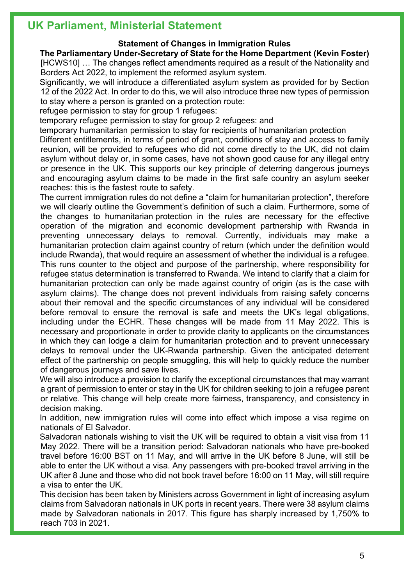# **UK Parliament, Ministerial Statement**

# **Statement of Changes in Immigration Rules**

# **The Parliamentary Under-Secretary of State for the Home Department (Kevin Foster)**

[HCWS10] … The changes reflect amendments required as a result of the Nationality and Borders Act 2022, to implement the reformed asylum system.

Significantly, we will introduce a differentiated asylum system as provided for by Section 12 of the 2022 Act. In order to do this, we will also introduce three new types of permission to stay where a person is granted on a protection route:

refugee permission to stay for group 1 refugees:

temporary refugee permission to stay for group 2 refugees: and

temporary humanitarian permission to stay for recipients of humanitarian protection

Different entitlements, in terms of period of grant, conditions of stay and access to family reunion, will be provided to refugees who did not come directly to the UK, did not claim asylum without delay or, in some cases, have not shown good cause for any illegal entry or presence in the UK. This supports our key principle of deterring dangerous journeys and encouraging asylum claims to be made in the first safe country an asylum seeker reaches: this is the fastest route to safety.

The current immigration rules do not define a "claim for humanitarian protection", therefore we will clearly outline the Government's definition of such a claim. Furthermore, some of the changes to humanitarian protection in the rules are necessary for the effective operation of the migration and economic development partnership with Rwanda in preventing unnecessary delays to removal. Currently, individuals may make a humanitarian protection claim against country of return (which under the definition would include Rwanda), that would require an assessment of whether the individual is a refugee. This runs counter to the object and purpose of the partnership, where responsibility for refugee status determination is transferred to Rwanda. We intend to clarify that a claim for humanitarian protection can only be made against country of origin (as is the case with asylum claims). The change does not prevent individuals from raising safety concerns about their removal and the specific circumstances of any individual will be considered before removal to ensure the removal is safe and meets the UK's legal obligations, including under the ECHR. These changes will be made from 11 May 2022. This is necessary and proportionate in order to provide clarity to applicants on the circumstances in which they can lodge a claim for humanitarian protection and to prevent unnecessary delays to removal under the UK-Rwanda partnership. Given the anticipated deterrent effect of the partnership on people smuggling, this will help to quickly reduce the number of dangerous journeys and save lives.

We will also introduce a provision to clarify the exceptional circumstances that may warrant a grant of permission to enter or stay in the UK for children seeking to join a refugee parent or relative. This change will help create more fairness, transparency, and consistency in decision making.

In addition, new immigration rules will come into effect which impose a visa regime on nationals of El Salvador.

Salvadoran nationals wishing to visit the UK will be required to obtain a visit visa from 11 May 2022. There will be a transition period: Salvadoran nationals who have pre-booked travel before 16:00 BST on 11 May, and will arrive in the UK before 8 June, will still be able to enter the UK without a visa. Any passengers with pre-booked travel arriving in the UK after 8 June and those who did not book travel before 16:00 on 11 May, will still require a visa to enter the UK.

This decision has been taken by Ministers across Government in light of increasing asylum claims from Salvadoran nationals in UK ports in recent years. There were 38 asylum claims made by Salvadoran nationals in 2017. This figure has sharply increased by 1,750% to reach 703 in 2021.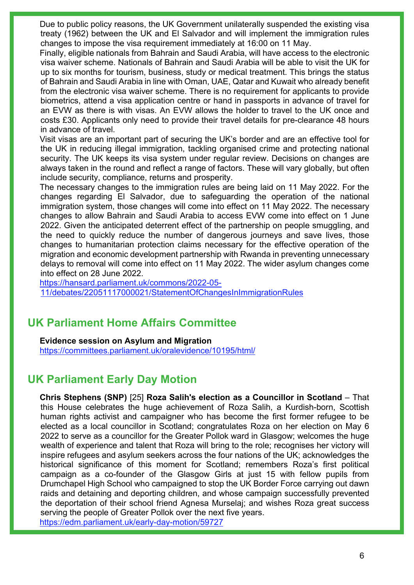Due to public policy reasons, the UK Government unilaterally suspended the existing visa treaty (1962) between the UK and El Salvador and will implement the immigration rules changes to impose the visa requirement immediately at 16:00 on 11 May.

Finally, eligible nationals from Bahrain and Saudi Arabia, will have access to the electronic visa waiver scheme. Nationals of Bahrain and Saudi Arabia will be able to visit the UK for up to six months for tourism, business, study or medical treatment. This brings the status of Bahrain and Saudi Arabia in line with Oman, UAE, Qatar and Kuwait who already benefit from the electronic visa waiver scheme. There is no requirement for applicants to provide biometrics, attend a visa application centre or hand in passports in advance of travel for an EVW as there is with visas. An EVW allows the holder to travel to the UK once and costs £30. Applicants only need to provide their travel details for pre-clearance 48 hours in advance of travel.

Visit visas are an important part of securing the UK's border and are an effective tool for the UK in reducing illegal immigration, tackling organised crime and protecting national security. The UK keeps its visa system under regular review. Decisions on changes are always taken in the round and reflect a range of factors. These will vary globally, but often include security, compliance, returns and prosperity.

The necessary changes to the immigration rules are being laid on 11 May 2022. For the changes regarding El Salvador, due to safeguarding the operation of the national immigration system, those changes will come into effect on 11 May 2022. The necessary changes to allow Bahrain and Saudi Arabia to access EVW come into effect on 1 June 2022. Given the anticipated deterrent effect of the partnership on people smuggling, and the need to quickly reduce the number of dangerous journeys and save lives, those changes to humanitarian protection claims necessary for the effective operation of the migration and economic development partnership with Rwanda in preventing unnecessary delays to removal will come into effect on 11 May 2022. The wider asylum changes come into effect on 28 June 2022.

[https://hansard.parliament.uk/commons/2022-05-](https://hansard.parliament.uk/commons/2022-05-11/debates/22051117000021/StatementOfChangesInImmigrationRules) [11/debates/22051117000021/StatementOfChangesInImmigrationRules](https://hansard.parliament.uk/commons/2022-05-11/debates/22051117000021/StatementOfChangesInImmigrationRules) 

# **UK Parliament Home Affairs Committee**

# **Evidence session on Asylum and Migration**

<https://committees.parliament.uk/oralevidence/10195/html/>

# **UK Parliament Early Day Motion**

**Chris Stephens (SNP)** [25] **Roza Salih's election as a Councillor in Scotland** – That this House celebrates the huge achievement of Roza Salih, a Kurdish-born, Scottish human rights activist and campaigner who has become the first former refugee to be elected as a local councillor in Scotland; congratulates Roza on her election on May 6 2022 to serve as a councillor for the Greater Pollok ward in Glasgow; welcomes the huge wealth of experience and talent that Roza will bring to the role; recognises her victory will inspire refugees and asylum seekers across the four nations of the UK; acknowledges the historical significance of this moment for Scotland; remembers Roza's first political campaign as a co-founder of the Glasgow Girls at just 15 with fellow pupils from Drumchapel High School who campaigned to stop the UK Border Force carrying out dawn raids and detaining and deporting children, and whose campaign successfully prevented the deportation of their school friend Agnesa Murselaj; and wishes Roza great success serving the people of Greater Pollok over the next five years. <https://edm.parliament.uk/early-day-motion/59727>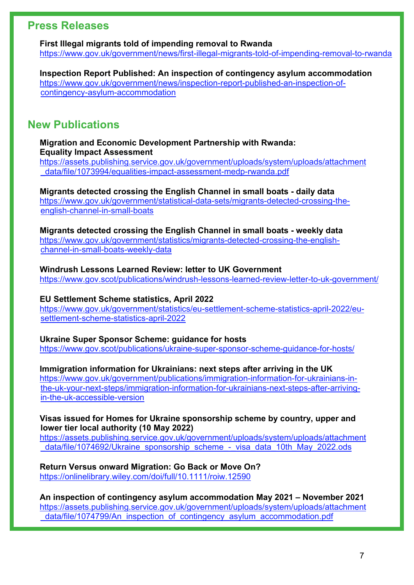# **Press Releases**

**First Illegal migrants told of impending removal to Rwanda** <https://www.gov.uk/government/news/first-illegal-migrants-told-of-impending-removal-to-rwanda>

**Inspection Report Published: An inspection of contingency asylum accommodation** [https://www.gov.uk/government/news/inspection-report-published-an-inspection-of](https://www.gov.uk/government/news/inspection-report-published-an-inspection-of-contingency-asylum-accommodation)[contingency-asylum-accommodation](https://www.gov.uk/government/news/inspection-report-published-an-inspection-of-contingency-asylum-accommodation) 

# **New Publications**

### **Migration and Economic Development Partnership with Rwanda: Equality Impact Assessment**

[https://assets.publishing.service.gov.uk/government/uploads/system/uploads/attachment](https://assets.publishing.service.gov.uk/government/uploads/system/uploads/attachment_data/file/1073994/equalities-impact-assessment-medp-rwanda.pdf) [\\_data/file/1073994/equalities-impact-assessment-medp-rwanda.pdf](https://assets.publishing.service.gov.uk/government/uploads/system/uploads/attachment_data/file/1073994/equalities-impact-assessment-medp-rwanda.pdf) 

**Migrants detected crossing the English Channel in small boats - daily data** [https://www.gov.uk/government/statistical-data-sets/migrants-detected-crossing-the](https://www.gov.uk/government/statistical-data-sets/migrants-detected-crossing-the-english-channel-in-small-boats)[english-channel-in-small-boats](https://www.gov.uk/government/statistical-data-sets/migrants-detected-crossing-the-english-channel-in-small-boats)

**Migrants detected crossing the English Channel in small boats - weekly data**

[https://www.gov.uk/government/statistics/migrants-detected-crossing-the-english](https://www.gov.uk/government/statistics/migrants-detected-crossing-the-english-channel-in-small-boats-weekly-data)[channel-in-small-boats-weekly-data](https://www.gov.uk/government/statistics/migrants-detected-crossing-the-english-channel-in-small-boats-weekly-data) 

### **Windrush Lessons Learned Review: letter to UK Government**

<https://www.gov.scot/publications/windrush-lessons-learned-review-letter-to-uk-government/>

### **EU Settlement Scheme statistics, April 2022**

[https://www.gov.uk/government/statistics/eu-settlement-scheme-statistics-april-2022/eu](https://www.gov.uk/government/statistics/eu-settlement-scheme-statistics-april-2022/eu-settlement-scheme-statistics-april-2022)[settlement-scheme-statistics-april-2022](https://www.gov.uk/government/statistics/eu-settlement-scheme-statistics-april-2022/eu-settlement-scheme-statistics-april-2022)

### **Ukraine Super Sponsor Scheme: guidance for hosts**

<https://www.gov.scot/publications/ukraine-super-sponsor-scheme-guidance-for-hosts/>

# **Immigration information for Ukrainians: next steps after arriving in the UK**

[https://www.gov.uk/government/publications/immigration-information-for-ukrainians-in](https://www.gov.uk/government/publications/immigration-information-for-ukrainians-in-the-uk-your-next-steps/immigration-information-for-ukrainians-next-steps-after-arriving-in-the-uk-accessible-version)[the-uk-your-next-steps/immigration-information-for-ukrainians-next-steps-after-arriving](https://www.gov.uk/government/publications/immigration-information-for-ukrainians-in-the-uk-your-next-steps/immigration-information-for-ukrainians-next-steps-after-arriving-in-the-uk-accessible-version)[in-the-uk-accessible-version](https://www.gov.uk/government/publications/immigration-information-for-ukrainians-in-the-uk-your-next-steps/immigration-information-for-ukrainians-next-steps-after-arriving-in-the-uk-accessible-version)

#### **Visas issued for Homes for Ukraine sponsorship scheme by country, upper and lower tier local authority (10 May 2022)**

[https://assets.publishing.service.gov.uk/government/uploads/system/uploads/attachment](https://assets.publishing.service.gov.uk/government/uploads/system/uploads/attachment_data/file/1074692/Ukraine_sponsorship_scheme_-_visa_data_10th_May_2022.ods) data/file/1074692/Ukraine\_sponsorship\_scheme\_-\_visa\_data\_10th\_May\_2022.ods

# **Return Versus onward Migration: Go Back or Move On?**

<https://onlinelibrary.wiley.com/doi/full/10.1111/roiw.12590>

**An inspection of contingency asylum accommodation May 2021 – November 2021** [https://assets.publishing.service.gov.uk/government/uploads/system/uploads/attachment](https://assets.publishing.service.gov.uk/government/uploads/system/uploads/attachment_data/file/1074799/An_inspection_of_contingency_asylum_accommodation.pdf) data/file/1074799/An\_inspection\_of\_contingency\_asylum\_accommodation.pdf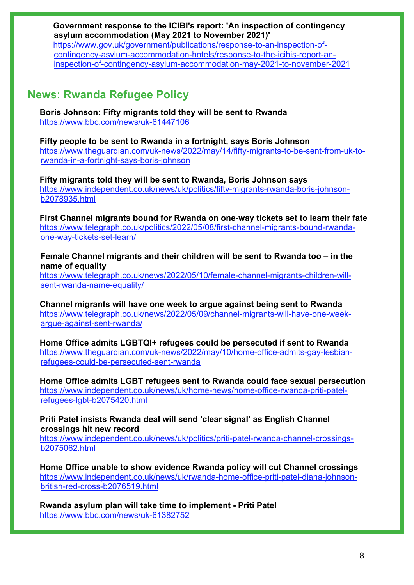**Government response to the ICIBI's report: 'An inspection of contingency asylum accommodation (May 2021 to November 2021)'**

[https://www.gov.uk/government/publications/response-to-an-inspection-of](https://www.gov.uk/government/publications/response-to-an-inspection-of-contingency-asylum-accommodation-hotels/response-to-the-icibis-report-an-inspection-of-contingency-asylum-accommodation-may-2021-to-november-2021)[contingency-asylum-accommodation-hotels/response-to-the-icibis-report-an](https://www.gov.uk/government/publications/response-to-an-inspection-of-contingency-asylum-accommodation-hotels/response-to-the-icibis-report-an-inspection-of-contingency-asylum-accommodation-may-2021-to-november-2021)[inspection-of-contingency-asylum-accommodation-may-2021-to-november-2021](https://www.gov.uk/government/publications/response-to-an-inspection-of-contingency-asylum-accommodation-hotels/response-to-the-icibis-report-an-inspection-of-contingency-asylum-accommodation-may-2021-to-november-2021) 

# **News: Rwanda Refugee Policy**

**Boris Johnson: Fifty migrants told they will be sent to Rwanda** <https://www.bbc.com/news/uk-61447106>

**Fifty people to be sent to Rwanda in a fortnight, says Boris Johnson**  [https://www.theguardian.com/uk-news/2022/may/14/fifty-migrants-to-be-sent-from-uk-to](https://www.theguardian.com/uk-news/2022/may/14/fifty-migrants-to-be-sent-from-uk-to-rwanda-in-a-fortnight-says-boris-johnson)[rwanda-in-a-fortnight-says-boris-johnson](https://www.theguardian.com/uk-news/2022/may/14/fifty-migrants-to-be-sent-from-uk-to-rwanda-in-a-fortnight-says-boris-johnson)

**Fifty migrants told they will be sent to Rwanda, Boris Johnson says**  [https://www.independent.co.uk/news/uk/politics/fifty-migrants-rwanda-boris-johnson](https://www.independent.co.uk/news/uk/politics/fifty-migrants-rwanda-boris-johnson-b2078935.html)[b2078935.html](https://www.independent.co.uk/news/uk/politics/fifty-migrants-rwanda-boris-johnson-b2078935.html)

**First Channel migrants bound for Rwanda on one-way tickets set to learn their fate** [https://www.telegraph.co.uk/politics/2022/05/08/first-channel-migrants-bound-rwanda](https://www.telegraph.co.uk/politics/2022/05/08/first-channel-migrants-bound-rwanda-one-way-tickets-set-learn/)[one-way-tickets-set-learn/](https://www.telegraph.co.uk/politics/2022/05/08/first-channel-migrants-bound-rwanda-one-way-tickets-set-learn/)

**Female Channel migrants and their children will be sent to Rwanda too – in the name of equality**

[https://www.telegraph.co.uk/news/2022/05/10/female-channel-migrants-children-will](https://www.telegraph.co.uk/news/2022/05/10/female-channel-migrants-children-will-sent-rwanda-name-equality/)[sent-rwanda-name-equality/](https://www.telegraph.co.uk/news/2022/05/10/female-channel-migrants-children-will-sent-rwanda-name-equality/)

**Channel migrants will have one week to argue against being sent to Rwanda** [https://www.telegraph.co.uk/news/2022/05/09/channel-migrants-will-have-one-week](https://www.telegraph.co.uk/news/2022/05/09/channel-migrants-will-have-one-week-argue-against-sent-rwanda/)[argue-against-sent-rwanda/](https://www.telegraph.co.uk/news/2022/05/09/channel-migrants-will-have-one-week-argue-against-sent-rwanda/)

**Home Office admits LGBTQI+ refugees could be persecuted if sent to Rwanda**  [https://www.theguardian.com/uk-news/2022/may/10/home-office-admits-gay-lesbian](https://www.theguardian.com/uk-news/2022/may/10/home-office-admits-gay-lesbian-refugees-could-be-persecuted-sent-rwanda)[refugees-could-be-persecuted-sent-rwanda](https://www.theguardian.com/uk-news/2022/may/10/home-office-admits-gay-lesbian-refugees-could-be-persecuted-sent-rwanda)

**Home Office admits LGBT refugees sent to Rwanda could face sexual persecution**  [https://www.independent.co.uk/news/uk/home-news/home-office-rwanda-priti-patel](https://www.independent.co.uk/news/uk/home-news/home-office-rwanda-priti-patel-refugees-lgbt-b2075420.html)[refugees-lgbt-b2075420.html](https://www.independent.co.uk/news/uk/home-news/home-office-rwanda-priti-patel-refugees-lgbt-b2075420.html)

**Priti Patel insists Rwanda deal will send 'clear signal' as English Channel crossings hit new record** 

[https://www.independent.co.uk/news/uk/politics/priti-patel-rwanda-channel-crossings](https://www.independent.co.uk/news/uk/politics/priti-patel-rwanda-channel-crossings-b2075062.html)[b2075062.html](https://www.independent.co.uk/news/uk/politics/priti-patel-rwanda-channel-crossings-b2075062.html)

**Home Office unable to show evidence Rwanda policy will cut Channel crossings**  [https://www.independent.co.uk/news/uk/rwanda-home-office-priti-patel-diana-johnson](https://www.independent.co.uk/news/uk/rwanda-home-office-priti-patel-diana-johnson-british-red-cross-b2076519.html)[british-red-cross-b2076519.html](https://www.independent.co.uk/news/uk/rwanda-home-office-priti-patel-diana-johnson-british-red-cross-b2076519.html)

**Rwanda asylum plan will take time to implement - Priti Patel** <https://www.bbc.com/news/uk-61382752>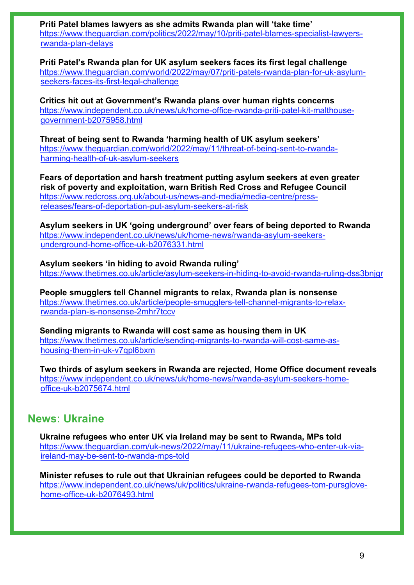**Priti Patel blames lawyers as she admits Rwanda plan will 'take time'** [https://www.theguardian.com/politics/2022/may/10/priti-patel-blames-specialist-lawyers](https://www.theguardian.com/politics/2022/may/10/priti-patel-blames-specialist-lawyers-rwanda-plan-delays)[rwanda-plan-delays](https://www.theguardian.com/politics/2022/may/10/priti-patel-blames-specialist-lawyers-rwanda-plan-delays)

**Priti Patel's Rwanda plan for UK asylum seekers faces its first legal challenge** [https://www.theguardian.com/world/2022/may/07/priti-patels-rwanda-plan-for-uk-asylum](https://www.theguardian.com/world/2022/may/07/priti-patels-rwanda-plan-for-uk-asylum-seekers-faces-its-first-legal-challenge)[seekers-faces-its-first-legal-challenge](https://www.theguardian.com/world/2022/may/07/priti-patels-rwanda-plan-for-uk-asylum-seekers-faces-its-first-legal-challenge)

**Critics hit out at Government's Rwanda plans over human rights concerns**  [https://www.independent.co.uk/news/uk/home-office-rwanda-priti-patel-kit-malthouse](https://www.independent.co.uk/news/uk/home-office-rwanda-priti-patel-kit-malthouse-government-b2075958.html)[government-b2075958.html](https://www.independent.co.uk/news/uk/home-office-rwanda-priti-patel-kit-malthouse-government-b2075958.html)

**Threat of being sent to Rwanda 'harming health of UK asylum seekers'**  [https://www.theguardian.com/world/2022/may/11/threat-of-being-sent-to-rwanda](https://www.theguardian.com/world/2022/may/11/threat-of-being-sent-to-rwanda-harming-health-of-uk-asylum-seekers)[harming-health-of-uk-asylum-seekers](https://www.theguardian.com/world/2022/may/11/threat-of-being-sent-to-rwanda-harming-health-of-uk-asylum-seekers)

**Fears of deportation and harsh treatment putting asylum seekers at even greater risk of poverty and exploitation, warn British Red Cross and Refugee Council** [https://www.redcross.org.uk/about-us/news-and-media/media-centre/press](https://www.redcross.org.uk/about-us/news-and-media/media-centre/press-releases/fears-of-deportation-put-asylum-seekers-at-risk)[releases/fears-of-deportation-put-asylum-seekers-at-risk](https://www.redcross.org.uk/about-us/news-and-media/media-centre/press-releases/fears-of-deportation-put-asylum-seekers-at-risk) 

**Asylum seekers in UK 'going underground' over fears of being deported to Rwanda**  [https://www.independent.co.uk/news/uk/home-news/rwanda-asylum-seekers](https://www.independent.co.uk/news/uk/home-news/rwanda-asylum-seekers-underground-home-office-uk-b2076331.html)[underground-home-office-uk-b2076331.html](https://www.independent.co.uk/news/uk/home-news/rwanda-asylum-seekers-underground-home-office-uk-b2076331.html)

**Asylum seekers 'in hiding to avoid Rwanda ruling'**  <https://www.thetimes.co.uk/article/asylum-seekers-in-hiding-to-avoid-rwanda-ruling-dss3bnjgr>

**People smugglers tell Channel migrants to relax, Rwanda plan is nonsense**  [https://www.thetimes.co.uk/article/people-smugglers-tell-channel-migrants-to-relax](https://www.thetimes.co.uk/article/people-smugglers-tell-channel-migrants-to-relax-rwanda-plan-is-nonsense-2mhr7tccv)[rwanda-plan-is-nonsense-2mhr7tccv](https://www.thetimes.co.uk/article/people-smugglers-tell-channel-migrants-to-relax-rwanda-plan-is-nonsense-2mhr7tccv)

**Sending migrants to Rwanda will cost same as housing them in UK**  [https://www.thetimes.co.uk/article/sending-migrants-to-rwanda-will-cost-same-as](https://www.thetimes.co.uk/article/sending-migrants-to-rwanda-will-cost-same-as-housing-them-in-uk-v7qpl6bxm)[housing-them-in-uk-v7qpl6bxm](https://www.thetimes.co.uk/article/sending-migrants-to-rwanda-will-cost-same-as-housing-them-in-uk-v7qpl6bxm)

**Two thirds of asylum seekers in Rwanda are rejected, Home Office document reveals**  [https://www.independent.co.uk/news/uk/home-news/rwanda-asylum-seekers-home](https://www.independent.co.uk/news/uk/home-news/rwanda-asylum-seekers-home-office-uk-b2075674.html)[office-uk-b2075674.html](https://www.independent.co.uk/news/uk/home-news/rwanda-asylum-seekers-home-office-uk-b2075674.html)

# **News: Ukraine**

**Ukraine refugees who enter UK via Ireland may be sent to Rwanda, MPs told**  [https://www.theguardian.com/uk-news/2022/may/11/ukraine-refugees-who-enter-uk-via](https://www.theguardian.com/uk-news/2022/may/11/ukraine-refugees-who-enter-uk-via-ireland-may-be-sent-to-rwanda-mps-told)[ireland-may-be-sent-to-rwanda-mps-told](https://www.theguardian.com/uk-news/2022/may/11/ukraine-refugees-who-enter-uk-via-ireland-may-be-sent-to-rwanda-mps-told)

**Minister refuses to rule out that Ukrainian refugees could be deported to Rwanda**  [https://www.independent.co.uk/news/uk/politics/ukraine-rwanda-refugees-tom-pursglove](https://www.independent.co.uk/news/uk/politics/ukraine-rwanda-refugees-tom-pursglove-home-office-uk-b2076493.html)[home-office-uk-b2076493.html](https://www.independent.co.uk/news/uk/politics/ukraine-rwanda-refugees-tom-pursglove-home-office-uk-b2076493.html)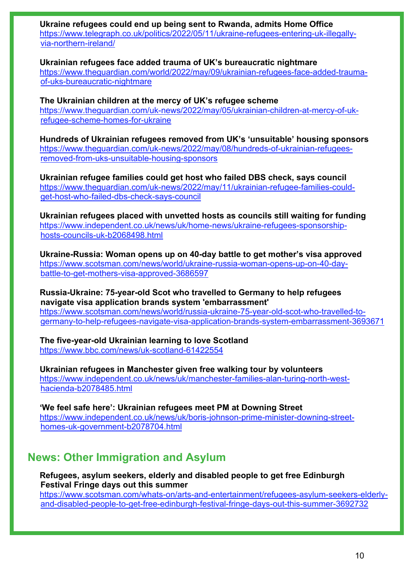**Ukraine refugees could end up being sent to Rwanda, admits Home Office** [https://www.telegraph.co.uk/politics/2022/05/11/ukraine-refugees-entering-uk-illegally](https://www.telegraph.co.uk/politics/2022/05/11/ukraine-refugees-entering-uk-illegally-via-northern-ireland/)[via-northern-ireland/](https://www.telegraph.co.uk/politics/2022/05/11/ukraine-refugees-entering-uk-illegally-via-northern-ireland/)

**Ukrainian refugees face added trauma of UK's bureaucratic nightmare**  [https://www.theguardian.com/world/2022/may/09/ukrainian-refugees-face-added-trauma](https://www.theguardian.com/world/2022/may/09/ukrainian-refugees-face-added-trauma-of-uks-bureaucratic-nightmare)[of-uks-bureaucratic-nightmare](https://www.theguardian.com/world/2022/may/09/ukrainian-refugees-face-added-trauma-of-uks-bureaucratic-nightmare)

**The Ukrainian children at the mercy of UK's refugee scheme** [https://www.theguardian.com/uk-news/2022/may/05/ukrainian-children-at-mercy-of-uk](https://www.theguardian.com/uk-news/2022/may/05/ukrainian-children-at-mercy-of-uk-refugee-scheme-homes-for-ukraine)[refugee-scheme-homes-for-ukraine](https://www.theguardian.com/uk-news/2022/may/05/ukrainian-children-at-mercy-of-uk-refugee-scheme-homes-for-ukraine) 

**Hundreds of Ukrainian refugees removed from UK's 'unsuitable' housing sponsors** [https://www.theguardian.com/uk-news/2022/may/08/hundreds-of-ukrainian-refugees](https://www.theguardian.com/uk-news/2022/may/08/hundreds-of-ukrainian-refugees-removed-from-uks-unsuitable-housing-sponsors)[removed-from-uks-unsuitable-housing-sponsors](https://www.theguardian.com/uk-news/2022/may/08/hundreds-of-ukrainian-refugees-removed-from-uks-unsuitable-housing-sponsors)

**Ukrainian refugee families could get host who failed DBS check, says council**  [https://www.theguardian.com/uk-news/2022/may/11/ukrainian-refugee-families-could](https://www.theguardian.com/uk-news/2022/may/11/ukrainian-refugee-families-could-get-host-who-failed-dbs-check-says-council)[get-host-who-failed-dbs-check-says-council](https://www.theguardian.com/uk-news/2022/may/11/ukrainian-refugee-families-could-get-host-who-failed-dbs-check-says-council)

**Ukrainian refugees placed with unvetted hosts as councils still waiting for funding**  [https://www.independent.co.uk/news/uk/home-news/ukraine-refugees-sponsorship](https://www.independent.co.uk/news/uk/home-news/ukraine-refugees-sponsorship-hosts-councils-uk-b2068498.html)[hosts-councils-uk-b2068498.html](https://www.independent.co.uk/news/uk/home-news/ukraine-refugees-sponsorship-hosts-councils-uk-b2068498.html)

**Ukraine-Russia: Woman opens up on 40-day battle to get mother's visa approved** [https://www.scotsman.com/news/world/ukraine-russia-woman-opens-up-on-40-day](https://www.scotsman.com/news/world/ukraine-russia-woman-opens-up-on-40-day-battle-to-get-mothers-visa-approved-3686597)[battle-to-get-mothers-visa-approved-3686597](https://www.scotsman.com/news/world/ukraine-russia-woman-opens-up-on-40-day-battle-to-get-mothers-visa-approved-3686597)

**Russia-Ukraine: 75-year-old Scot who travelled to Germany to help refugees navigate visa application brands system 'embarrassment'** [https://www.scotsman.com/news/world/russia-ukraine-75-year-old-scot-who-travelled-to](https://www.scotsman.com/news/world/russia-ukraine-75-year-old-scot-who-travelled-to-germany-to-help-refugees-navigate-visa-application-brands-system-embarrassment-3693671)[germany-to-help-refugees-navigate-visa-application-brands-system-embarrassment-3693671](https://www.scotsman.com/news/world/russia-ukraine-75-year-old-scot-who-travelled-to-germany-to-help-refugees-navigate-visa-application-brands-system-embarrassment-3693671)

**The five-year-old Ukrainian learning to love Scotland** <https://www.bbc.com/news/uk-scotland-61422554>

**Ukrainian refugees in Manchester given free walking tour by volunteers**  [https://www.independent.co.uk/news/uk/manchester-families-alan-turing-north-west](https://www.independent.co.uk/news/uk/manchester-families-alan-turing-north-west-hacienda-b2078485.html)[hacienda-b2078485.html](https://www.independent.co.uk/news/uk/manchester-families-alan-turing-north-west-hacienda-b2078485.html)

**'We feel safe here': Ukrainian refugees meet PM at Downing Street**  [https://www.independent.co.uk/news/uk/boris-johnson-prime-minister-downing-street](https://www.independent.co.uk/news/uk/boris-johnson-prime-minister-downing-street-homes-uk-government-b2078704.html)[homes-uk-government-b2078704.html](https://www.independent.co.uk/news/uk/boris-johnson-prime-minister-downing-street-homes-uk-government-b2078704.html)

# **News: Other Immigration and Asylum**

**Refugees, asylum seekers, elderly and disabled people to get free Edinburgh Festival Fringe days out this summer**

[https://www.scotsman.com/whats-on/arts-and-entertainment/refugees-asylum-seekers-elderly](https://www.scotsman.com/whats-on/arts-and-entertainment/refugees-asylum-seekers-elderly-and-disabled-people-to-get-free-edinburgh-festival-fringe-days-out-this-summer-3692732)[and-disabled-people-to-get-free-edinburgh-festival-fringe-days-out-this-summer-3692732](https://www.scotsman.com/whats-on/arts-and-entertainment/refugees-asylum-seekers-elderly-and-disabled-people-to-get-free-edinburgh-festival-fringe-days-out-this-summer-3692732)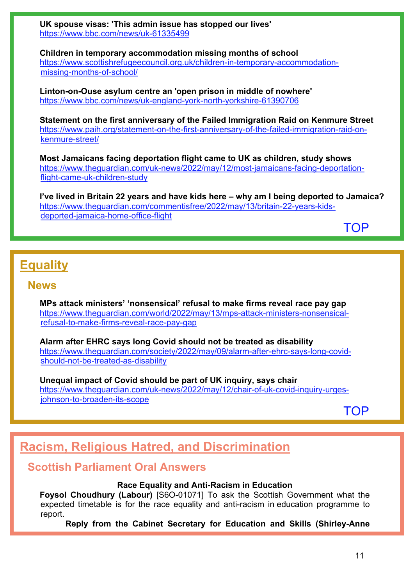**UK spouse visas: 'This admin issue has stopped our lives'** <https://www.bbc.com/news/uk-61335499>

**Children in temporary accommodation missing months of school** [https://www.scottishrefugeecouncil.org.uk/children-in-temporary-accommodation](https://www.scottishrefugeecouncil.org.uk/children-in-temporary-accommodation-missing-months-of-school/)[missing-months-of-school/](https://www.scottishrefugeecouncil.org.uk/children-in-temporary-accommodation-missing-months-of-school/)

**Linton-on-Ouse asylum centre an 'open prison in middle of nowhere'** <https://www.bbc.com/news/uk-england-york-north-yorkshire-61390706>

**Statement on the first anniversary of the Failed Immigration Raid on Kenmure Street**  [https://www.paih.org/statement-on-the-first-anniversary-of-the-failed-immigration-raid-on](https://www.paih.org/statement-on-the-first-anniversary-of-the-failed-immigration-raid-on-kenmure-street/)[kenmure-street/](https://www.paih.org/statement-on-the-first-anniversary-of-the-failed-immigration-raid-on-kenmure-street/) 

**Most Jamaicans facing deportation flight came to UK as children, study shows**  [https://www.theguardian.com/uk-news/2022/may/12/most-jamaicans-facing-deportation](https://www.theguardian.com/uk-news/2022/may/12/most-jamaicans-facing-deportation-flight-came-uk-children-study)[flight-came-uk-children-study](https://www.theguardian.com/uk-news/2022/may/12/most-jamaicans-facing-deportation-flight-came-uk-children-study)

**I've lived in Britain 22 years and have kids here – why am I being deported to Jamaica?**  [https://www.theguardian.com/commentisfree/2022/may/13/britain-22-years-kids](https://www.theguardian.com/commentisfree/2022/may/13/britain-22-years-kids-deported-jamaica-home-office-flight)[deported-jamaica-home-office-flight](https://www.theguardian.com/commentisfree/2022/may/13/britain-22-years-kids-deported-jamaica-home-office-flight)

[TOP](#page-0-1)

# <span id="page-10-0"></span>**Equality**

# **News**

**MPs attack ministers' 'nonsensical' refusal to make firms reveal race pay gap**  [https://www.theguardian.com/world/2022/may/13/mps-attack-ministers-nonsensical](https://www.theguardian.com/world/2022/may/13/mps-attack-ministers-nonsensical-refusal-to-make-firms-reveal-race-pay-gap)[refusal-to-make-firms-reveal-race-pay-gap](https://www.theguardian.com/world/2022/may/13/mps-attack-ministers-nonsensical-refusal-to-make-firms-reveal-race-pay-gap)

**Alarm after EHRC says long Covid should not be treated as disability**  [https://www.theguardian.com/society/2022/may/09/alarm-after-ehrc-says-long-covid](https://www.theguardian.com/society/2022/may/09/alarm-after-ehrc-says-long-covid-should-not-be-treated-as-disability)[should-not-be-treated-as-disability](https://www.theguardian.com/society/2022/may/09/alarm-after-ehrc-says-long-covid-should-not-be-treated-as-disability)

**Unequal impact of Covid should be part of UK inquiry, says chair**  [https://www.theguardian.com/uk-news/2022/may/12/chair-of-uk-covid-inquiry-urges](https://www.theguardian.com/uk-news/2022/may/12/chair-of-uk-covid-inquiry-urges-johnson-to-broaden-its-scope)[johnson-to-broaden-its-scope](https://www.theguardian.com/uk-news/2022/may/12/chair-of-uk-covid-inquiry-urges-johnson-to-broaden-its-scope)

[TOP](#page-0-1)

# <span id="page-10-1"></span>**Racism, Religious Hatred, and Discrimination**

# **Scottish Parliament Oral Answers**

### **Race Equality and Anti-Racism in Education**

**Foysol Choudhury (Labour)** [S6O-01071] To ask the Scottish Government what the expected timetable is for the race equality and anti-racism in education programme to report.

**Reply from the Cabinet Secretary for Education and Skills (Shirley-Anne**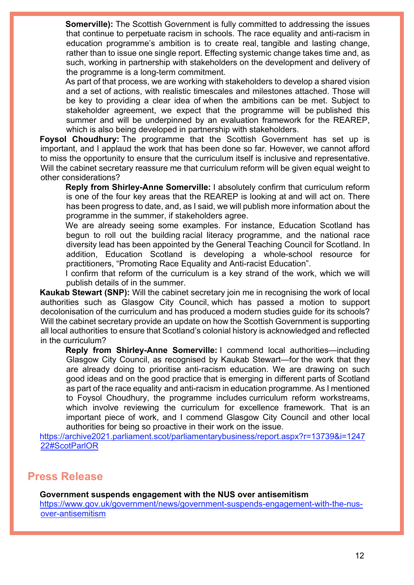**Somerville):** The Scottish Government is fully committed to addressing the issues that continue to perpetuate racism in schools. The race equality and anti-racism in education programme's ambition is to create real, tangible and lasting change, rather than to issue one single report. Effecting systemic change takes time and, as such, working in partnership with stakeholders on the development and delivery of the programme is a long-term commitment.

As part of that process, we are working with stakeholders to develop a shared vision and a set of actions, with realistic timescales and milestones attached. Those will be key to providing a clear idea of when the ambitions can be met. Subject to stakeholder agreement, we expect that the programme will be published this summer and will be underpinned by an evaluation framework for the REAREP, which is also being developed in partnership with stakeholders.

**Foysol Choudhury:** The programme that the Scottish Government has set up is important, and I applaud the work that has been done so far. However, we cannot afford to miss the opportunity to ensure that the curriculum itself is inclusive and representative. Will the cabinet secretary reassure me that curriculum reform will be given equal weight to other considerations?

**Reply from Shirley-Anne Somerville:** I absolutely confirm that curriculum reform is one of the four key areas that the REAREP is looking at and will act on. There has been progress to date, and, as I said, we will publish more information about the programme in the summer, if stakeholders agree.

We are already seeing some examples. For instance, Education Scotland has begun to roll out the building racial literacy programme, and the national race diversity lead has been appointed by the General Teaching Council for Scotland. In addition, Education Scotland is developing a whole-school resource for practitioners, "Promoting Race Equality and Anti-racist Education".

I confirm that reform of the curriculum is a key strand of the work, which we will publish details of in the summer.

**Kaukab Stewart (SNP):** Will the cabinet secretary join me in recognising the work of local authorities such as Glasgow City Council, which has passed a motion to support decolonisation of the curriculum and has produced a modern studies guide for its schools? Will the cabinet secretary provide an update on how the Scottish Government is supporting all local authorities to ensure that Scotland's colonial history is acknowledged and reflected in the curriculum?

**Reply from Shirley-Anne Somerville:** I commend local authorities—including Glasgow City Council, as recognised by Kaukab Stewart—for the work that they are already doing to prioritise anti-racism education. We are drawing on such good ideas and on the good practice that is emerging in different parts of Scotland as part of the race equality and anti-racism in education programme. As I mentioned to Foysol Choudhury, the programme includes curriculum reform workstreams, which involve reviewing the curriculum for excellence framework. That is an important piece of work, and I commend Glasgow City Council and other local authorities for being so proactive in their work on the issue.

[https://archive2021.parliament.scot/parliamentarybusiness/report.aspx?r=13739&i=1247](https://archive2021.parliament.scot/parliamentarybusiness/report.aspx?r=13739&i=124722#ScotParlOR) [22#ScotParlOR](https://archive2021.parliament.scot/parliamentarybusiness/report.aspx?r=13739&i=124722#ScotParlOR)

# **Press Release**

**Government suspends engagement with the NUS over antisemitism**

[https://www.gov.uk/government/news/government-suspends-engagement-with-the-nus](https://www.gov.uk/government/news/government-suspends-engagement-with-the-nus-over-antisemitism)[over-antisemitism](https://www.gov.uk/government/news/government-suspends-engagement-with-the-nus-over-antisemitism)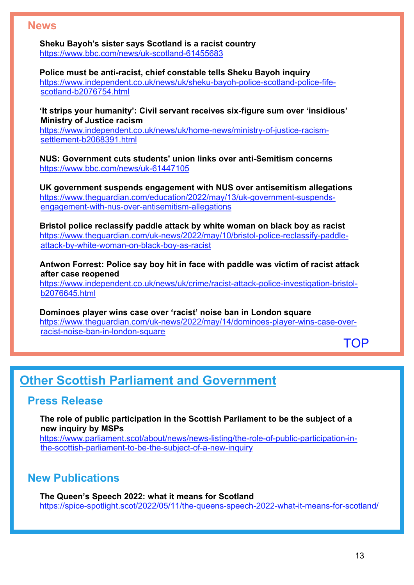# **News**

**Sheku Bayoh's sister says Scotland is a racist country** <https://www.bbc.com/news/uk-scotland-61455683>

**Police must be anti-racist, chief constable tells Sheku Bayoh inquiry**  [https://www.independent.co.uk/news/uk/sheku-bayoh-police-scotland-police-fife](https://www.independent.co.uk/news/uk/sheku-bayoh-police-scotland-police-fife-scotland-b2076754.html)[scotland-b2076754.html](https://www.independent.co.uk/news/uk/sheku-bayoh-police-scotland-police-fife-scotland-b2076754.html)

**'It strips your humanity': Civil servant receives six-figure sum over 'insidious' Ministry of Justice racism** 

[https://www.independent.co.uk/news/uk/home-news/ministry-of-justice-racism](https://www.independent.co.uk/news/uk/home-news/ministry-of-justice-racism-settlement-b2068391.html)[settlement-b2068391.html](https://www.independent.co.uk/news/uk/home-news/ministry-of-justice-racism-settlement-b2068391.html)

**NUS: Government cuts students' union links over anti-Semitism concerns** <https://www.bbc.com/news/uk-61447105>

**UK government suspends engagement with NUS over antisemitism allegations**  [https://www.theguardian.com/education/2022/may/13/uk-government-suspends](https://www.theguardian.com/education/2022/may/13/uk-government-suspends-engagement-with-nus-over-antisemitism-allegations)[engagement-with-nus-over-antisemitism-allegations](https://www.theguardian.com/education/2022/may/13/uk-government-suspends-engagement-with-nus-over-antisemitism-allegations)

**Bristol police reclassify paddle attack by white woman on black boy as racist**  [https://www.theguardian.com/uk-news/2022/may/10/bristol-police-reclassify-paddle](https://www.theguardian.com/uk-news/2022/may/10/bristol-police-reclassify-paddle-attack-by-white-woman-on-black-boy-as-racist)[attack-by-white-woman-on-black-boy-as-racist](https://www.theguardian.com/uk-news/2022/may/10/bristol-police-reclassify-paddle-attack-by-white-woman-on-black-boy-as-racist)

**Antwon Forrest: Police say boy hit in face with paddle was victim of racist attack after case reopened** 

[https://www.independent.co.uk/news/uk/crime/racist-attack-police-investigation-bristol](https://www.independent.co.uk/news/uk/crime/racist-attack-police-investigation-bristol-b2076645.html)[b2076645.html](https://www.independent.co.uk/news/uk/crime/racist-attack-police-investigation-bristol-b2076645.html)

**Dominoes player wins case over 'racist' noise ban in London square**  [https://www.theguardian.com/uk-news/2022/may/14/dominoes-player-wins-case-over](https://www.theguardian.com/uk-news/2022/may/14/dominoes-player-wins-case-over-racist-noise-ban-in-london-square)[racist-noise-ban-in-london-square](https://www.theguardian.com/uk-news/2022/may/14/dominoes-player-wins-case-over-racist-noise-ban-in-london-square)

**[TOP](#page-0-1)** 

# <span id="page-12-0"></span>**Other Scottish Parliament and Government**

# **Press Release**

**The role of public participation in the Scottish Parliament to be the subject of a new inquiry by MSPs**

[https://www.parliament.scot/about/news/news-listing/the-role-of-public-participation-in](https://www.parliament.scot/about/news/news-listing/the-role-of-public-participation-in-the-scottish-parliament-to-be-the-subject-of-a-new-inquiry)[the-scottish-parliament-to-be-the-subject-of-a-new-inquiry](https://www.parliament.scot/about/news/news-listing/the-role-of-public-participation-in-the-scottish-parliament-to-be-the-subject-of-a-new-inquiry) 

# **New Publications**

**The Queen's Speech 2022: what it means for Scotland** <https://spice-spotlight.scot/2022/05/11/the-queens-speech-2022-what-it-means-for-scotland/>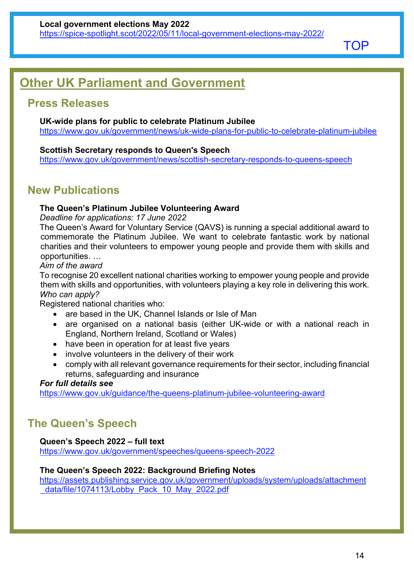**[TOP](#page-0-1)** 

# <span id="page-13-0"></span>**Other UK Parliament and Government**

# **Press Releases**

### **UK-wide plans for public to celebrate Platinum Jubilee**

<https://www.gov.uk/government/news/uk-wide-plans-for-public-to-celebrate-platinum-jubilee>

### **Scottish Secretary responds to Queen's Speech**

<https://www.gov.uk/government/news/scottish-secretary-responds-to-queens-speech>

# **New Publications**

# **The Queen's Platinum Jubilee Volunteering Award**

*Deadline for applications: 17 June 2022*

The Queen's Award for Voluntary Service (QAVS) is running a special additional award to commemorate the Platinum Jubilee. We want to celebrate fantastic work by national charities and their volunteers to empower young people and provide them with skills and opportunities. …

#### *Aim of the award*

To recognise 20 excellent national charities working to empower young people and provide them with skills and opportunities, with volunteers playing a key role in delivering this work. *Who can apply?*

Registered national charities who:

- are based in the UK, Channel Islands or Isle of Man
- are organised on a national basis (either UK-wide or with a national reach in England, Northern Ireland, Scotland or Wales)
- have been in operation for at least five years
- involve volunteers in the delivery of their work
- comply with all relevant governance requirements for their sector, including financial returns, safeguarding and insurance

### *For full details see*

<https://www.gov.uk/guidance/the-queens-platinum-jubilee-volunteering-award>

# **The Queen's Speech**

# **Queen's Speech 2022 – full text**

<https://www.gov.uk/government/speeches/queens-speech-2022>

### **The Queen's Speech 2022: Background Briefing Notes**

[https://assets.publishing.service.gov.uk/government/uploads/system/uploads/attachment](https://assets.publishing.service.gov.uk/government/uploads/system/uploads/attachment_data/file/1074113/Lobby_Pack_10_May_2022.pdf) data/file/1074113/Lobby Pack 10 May 2022.pdf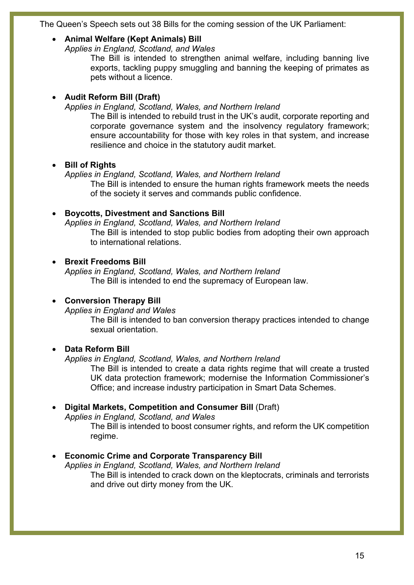The Queen's Speech sets out 38 Bills for the coming session of the UK Parliament:

### • **Animal Welfare (Kept Animals) Bill**

*Applies in England, Scotland, and Wales*

The Bill is intended to strengthen animal welfare, including banning live exports, tackling puppy smuggling and banning the keeping of primates as pets without a licence.

# • **Audit Reform Bill (Draft)**

*Applies in England, Scotland, Wales, and Northern Ireland*

The Bill is intended to rebuild trust in the UK's audit, corporate reporting and corporate governance system and the insolvency regulatory framework; ensure accountability for those with key roles in that system, and increase resilience and choice in the statutory audit market.

# • **Bill of Rights**

*Applies in England, Scotland, Wales, and Northern Ireland*

The Bill is intended to ensure the human rights framework meets the needs of the society it serves and commands public confidence.

# • **Boycotts, Divestment and Sanctions Bill**

*Applies in England, Scotland, Wales, and Northern Ireland* The Bill is intended to stop public bodies from adopting their own approach to international relations.

# • **Brexit Freedoms Bill**

*Applies in England, Scotland, Wales, and Northern Ireland* The Bill is intended to end the supremacy of European law.

# • **Conversion Therapy Bill**

*Applies in England and Wales*

The Bill is intended to ban conversion therapy practices intended to change sexual orientation.

# • **Data Reform Bill**

*Applies in England, Scotland, Wales, and Northern Ireland*

The Bill is intended to create a data rights regime that will create a trusted UK data protection framework; modernise the Information Commissioner's Office; and increase industry participation in Smart Data Schemes.

# • **Digital Markets, Competition and Consumer Bill** (Draft)

*Applies in England, Scotland, and Wales*

The Bill is intended to boost consumer rights, and reform the UK competition regime.

# • **Economic Crime and Corporate Transparency Bill**

*Applies in England, Scotland, Wales, and Northern Ireland* The Bill is intended to crack down on the kleptocrats, criminals and terrorists and drive out dirty money from the UK.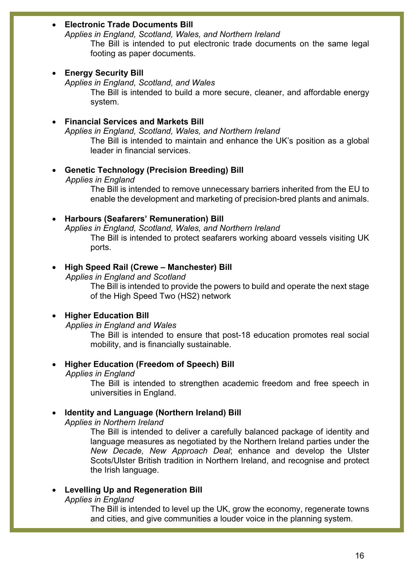### • **Electronic Trade Documents Bill**

*Applies in England, Scotland, Wales, and Northern Ireland* The Bill is intended to put electronic trade documents on the same legal footing as paper documents.

#### • **Energy Security Bill**

*Applies in England, Scotland, and Wales*

The Bill is intended to build a more secure, cleaner, and affordable energy system.

#### • **Financial Services and Markets Bill**

*Applies in England, Scotland, Wales, and Northern Ireland*

The Bill is intended to maintain and enhance the UK's position as a global leader in financial services.

#### • **Genetic Technology (Precision Breeding) Bill**

*Applies in England*

The Bill is intended to remove unnecessary barriers inherited from the EU to enable the development and marketing of precision-bred plants and animals.

#### • **Harbours (Seafarers' Remuneration) Bill**

*Applies in England, Scotland, Wales, and Northern Ireland* The Bill is intended to protect seafarers working aboard vessels visiting UK ports.

#### • **High Speed Rail (Crewe – Manchester) Bill**

*Applies in England and Scotland*

The Bill is intended to provide the powers to build and operate the next stage of the High Speed Two (HS2) network

### • **Higher Education Bill**

*Applies in England and Wales*

The Bill is intended to ensure that post-18 education promotes real social mobility, and is financially sustainable.

### • **Higher Education (Freedom of Speech) Bill**

*Applies in England* 

The Bill is intended to strengthen academic freedom and free speech in universities in England.

# • **Identity and Language (Northern Ireland) Bill**

*Applies in Northern Ireland*

The Bill is intended to deliver a carefully balanced package of identity and language measures as negotiated by the Northern Ireland parties under the *New Decade, New Approach Deal*; enhance and develop the Ulster Scots/Ulster British tradition in Northern Ireland, and recognise and protect the Irish language.

### • **Levelling Up and Regeneration Bill**

*Applies in England*

The Bill is intended to level up the UK, grow the economy, regenerate towns and cities, and give communities a louder voice in the planning system.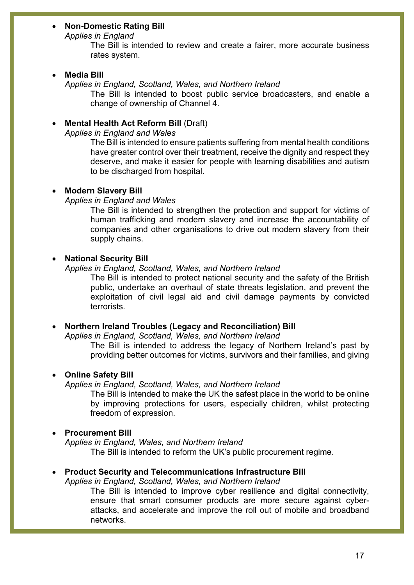### • **Non-Domestic Rating Bill**

*Applies in England*

The Bill is intended to review and create a fairer, more accurate business rates system.

#### • **Media Bill**

*Applies in England, Scotland, Wales, and Northern Ireland*

The Bill is intended to boost public service broadcasters, and enable a change of ownership of Channel 4.

#### • **Mental Health Act Reform Bill** (Draft)

*Applies in England and Wales*

The Bill is intended to ensure patients suffering from mental health conditions have greater control over their treatment, receive the dignity and respect they deserve, and make it easier for people with learning disabilities and autism to be discharged from hospital.

#### • **Modern Slavery Bill**

*Applies in England and Wales*

The Bill is intended to strengthen the protection and support for victims of human trafficking and modern slavery and increase the accountability of companies and other organisations to drive out modern slavery from their supply chains.

#### • **National Security Bill**

*Applies in England, Scotland, Wales, and Northern Ireland*

The Bill is intended to protect national security and the safety of the British public, undertake an overhaul of state threats legislation, and prevent the exploitation of civil legal aid and civil damage payments by convicted terrorists.

#### • **Northern Ireland Troubles (Legacy and Reconciliation) Bill**

*Applies in England, Scotland, Wales, and Northern Ireland*

The Bill is intended to address the legacy of Northern Ireland's past by providing better outcomes for victims, survivors and their families, and giving

#### • **Online Safety Bill**

*Applies in England, Scotland, Wales, and Northern Ireland*

The Bill is intended to make the UK the safest place in the world to be online by improving protections for users, especially children, whilst protecting freedom of expression.

#### • **Procurement Bill**

*Applies in England, Wales, and Northern Ireland* The Bill is intended to reform the UK's public procurement regime.

#### • **Product Security and Telecommunications Infrastructure Bill**

*Applies in England, Scotland, Wales, and Northern Ireland*

The Bill is intended to improve cyber resilience and digital connectivity, ensure that smart consumer products are more secure against cyberattacks, and accelerate and improve the roll out of mobile and broadband networks.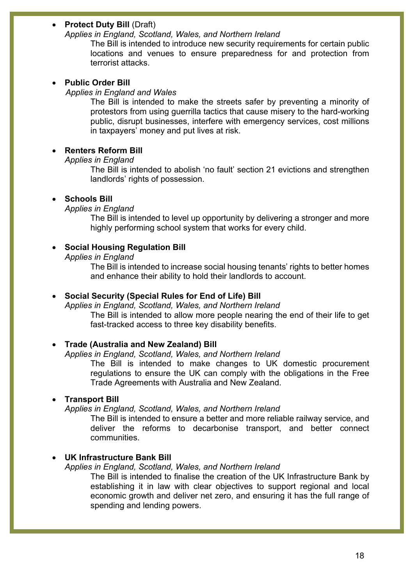### • **Protect Duty Bill** (Draft)

#### *Applies in England, Scotland, Wales, and Northern Ireland*

The Bill is intended to introduce new security requirements for certain public locations and venues to ensure preparedness for and protection from terrorist attacks.

#### • **Public Order Bill**

#### *Applies in England and Wales*

The Bill is intended to make the streets safer by preventing a minority of protestors from using guerrilla tactics that cause misery to the hard-working public, disrupt businesses, interfere with emergency services, cost millions in taxpayers' money and put lives at risk.

#### • **Renters Reform Bill**

#### *Applies in England*

The Bill is intended to abolish 'no fault' section 21 evictions and strengthen landlords' rights of possession.

#### • **Schools Bill**

#### *Applies in England*

The Bill is intended to level up opportunity by delivering a stronger and more highly performing school system that works for every child.

### • **Social Housing Regulation Bill**

*Applies in England*

The Bill is intended to increase social housing tenants' rights to better homes and enhance their ability to hold their landlords to account.

### • **Social Security (Special Rules for End of Life) Bill**

*Applies in England, Scotland, Wales, and Northern Ireland* The Bill is intended to allow more people nearing the end of their life to get fast-tracked access to three key disability benefits.

#### • **Trade (Australia and New Zealand) Bill**

#### *Applies in England, Scotland, Wales, and Northern Ireland*

The Bill is intended to make changes to UK domestic procurement regulations to ensure the UK can comply with the obligations in the Free Trade Agreements with Australia and New Zealand.

#### • **Transport Bill**

*Applies in England, Scotland, Wales, and Northern Ireland*

The Bill is intended to ensure a better and more reliable railway service, and deliver the reforms to decarbonise transport, and better connect communities.

#### • **UK Infrastructure Bank Bill**

#### *Applies in England, Scotland, Wales, and Northern Ireland*

The Bill is intended to finalise the creation of the UK Infrastructure Bank by establishing it in law with clear objectives to support regional and local economic growth and deliver net zero, and ensuring it has the full range of spending and lending powers.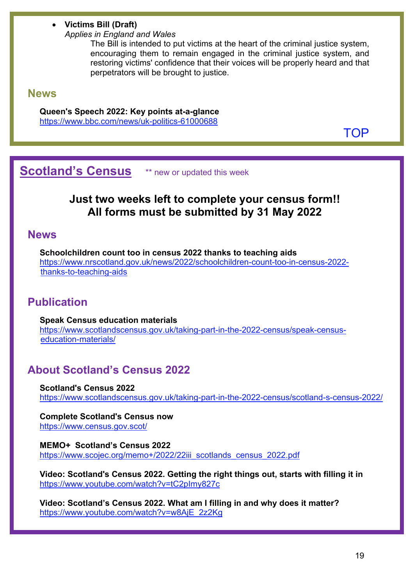- **Victims Bill (Draft)**
	- *Applies in England and Wales*

The Bill is intended to put victims at the heart of the criminal justice system, encouraging them to remain engaged in the criminal justice system, and restoring victims' confidence that their voices will be properly heard and that perpetrators will be brought to justice.

# **News**

**Queen's Speech 2022: Key points at-a-glance** <https://www.bbc.com/news/uk-politics-61000688>

[TOP](#page-0-1)

<span id="page-18-0"></span>**Scotland's Census** \*\* new or updated this week

# **Just two weeks left to complete your census form!! All forms must be submitted by 31 May 2022**

# **News**

**Schoolchildren count too in census 2022 thanks to teaching aids** [https://www.nrscotland.gov.uk/news/2022/schoolchildren-count-too-in-census-2022](https://www.nrscotland.gov.uk/news/2022/schoolchildren-count-too-in-census-2022-thanks-to-teaching-aids) [thanks-to-teaching-aids](https://www.nrscotland.gov.uk/news/2022/schoolchildren-count-too-in-census-2022-thanks-to-teaching-aids) 

# **Publication**

**Speak Census education materials** [https://www.scotlandscensus.gov.uk/taking-part-in-the-2022-census/speak-census](https://www.scotlandscensus.gov.uk/taking-part-in-the-2022-census/speak-census-education-materials/)[education-materials/](https://www.scotlandscensus.gov.uk/taking-part-in-the-2022-census/speak-census-education-materials/) 

# **About Scotland's Census 2022**

**Scotland's Census 2022** <https://www.scotlandscensus.gov.uk/taking-part-in-the-2022-census/scotland-s-census-2022/>

**Complete Scotland's Census now** <https://www.census.gov.scot/>

**MEMO+ Scotland's Census 2022** https://www.scojec.org/memo+/2022/22iii\_scotlands\_census\_2022.pdf

**Video: Scotland's Census 2022. Getting the right things out, starts with filling it in** <https://www.youtube.com/watch?v=tC2pImy827c>

**Video: Scotland's Census 2022. What am I filling in and why does it matter?** [https://www.youtube.com/watch?v=w8AjE\\_2z2Kg](https://www.youtube.com/watch?v=w8AjE_2z2Kg)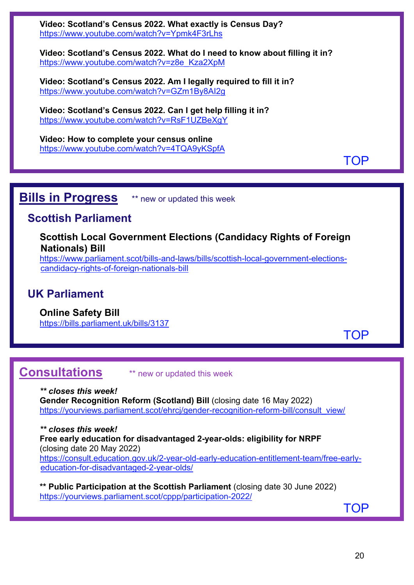**Video: Scotland's Census 2022. What exactly is Census Day?** <https://www.youtube.com/watch?v=Ypmk4F3rLhs>

**Video: Scotland's Census 2022. What do I need to know about filling it in?** [https://www.youtube.com/watch?v=z8e\\_Kza2XpM](https://www.youtube.com/watch?v=z8e_Kza2XpM)

**Video: Scotland's Census 2022. Am I legally required to fill it in?** <https://www.youtube.com/watch?v=GZm1By8AI2g>

**Video: Scotland's Census 2022. Can I get help filling it in?** <https://www.youtube.com/watch?v=RsF1UZBeXgY>

**Video: How to complete your census online** <https://www.youtube.com/watch?v=4TQA9yKSpfA>

**[TOP](#page-0-1)** 

# <span id="page-19-0"></span>**Bills in Progress** \*\* new or updated this week

# **Scottish Parliament**

**Scottish Local Government Elections (Candidacy Rights of Foreign Nationals) Bill**

[https://www.parliament.scot/bills-and-laws/bills/scottish-local-government-elections](https://www.parliament.scot/bills-and-laws/bills/scottish-local-government-elections-candidacy-rights-of-foreign-nationals-bill)[candidacy-rights-of-foreign-nationals-bill](https://www.parliament.scot/bills-and-laws/bills/scottish-local-government-elections-candidacy-rights-of-foreign-nationals-bill) 

# **UK Parliament**

**Online Safety Bill** 

<https://bills.parliament.uk/bills/3137>

[TOP](#page-0-1)

<span id="page-19-1"></span>**Consultations** \*\* new or updated this week

*\*\* closes this week!* **Gender Recognition Reform (Scotland) Bill** (closing date 16 May 2022) https://yourviews.parliament.scot/ehrcj/gender-recognition-reform-bill/consult\_view/

*\*\* closes this week!* **Free early education for disadvantaged 2-year-olds: eligibility for NRPF**  (closing date 20 May 2022) [https://consult.education.gov.uk/2-year-old-early-education-entitlement-team/free-early](https://consult.education.gov.uk/2-year-old-early-education-entitlement-team/free-early-education-for-disadvantaged-2-year-olds/)[education-for-disadvantaged-2-year-olds/](https://consult.education.gov.uk/2-year-old-early-education-entitlement-team/free-early-education-for-disadvantaged-2-year-olds/)

**\*\* Public Participation at the Scottish Parliament** (closing date 30 June 2022) <https://yourviews.parliament.scot/cppp/participation-2022/>

[TOP](#page-0-1)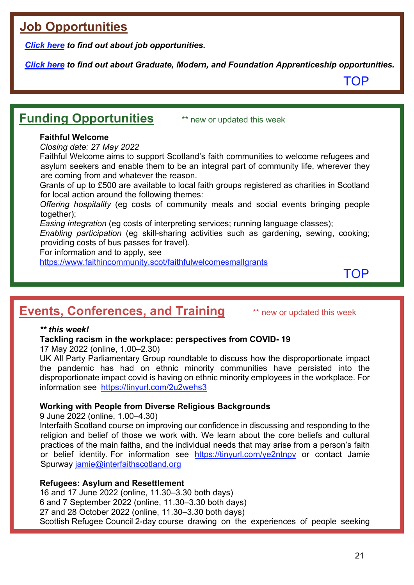# <span id="page-20-0"></span>**Job Opportunities**

*[Click here](https://www.scojec.org/memo/jobs.html) to find out about job opportunities.*

*[Click here](https://bemis.org.uk/projects/scottish-apprenticeship-vacancies/) to find out about Graduate, Modern, and Foundation Apprenticeship opportunities.*

[TOP](#page-0-1)

# <span id="page-20-1"></span>**Funding Opportunities** \*\* new or updated this week

# **Faithful Welcome**

*Closing date: 27 May 2022*

Faithful Welcome aims to support Scotland's faith communities to welcome refugees and asylum seekers and enable them to be an integral part of community life, wherever they are coming from and whatever the reason.

Grants of up to £500 are available to local faith groups registered as charities in Scotland for local action around the following themes:

*Offering hospitality* (eg costs of community meals and social events bringing people together);

*Easing integration* (eg costs of interpreting services; running language classes);

*Enabling participation* (eg skill-sharing activities such as gardening, sewing, cooking; providing costs of bus passes for travel).

For information and to apply, see

<https://www.faithincommunity.scot/faithfulwelcomesmallgrants>

[TOP](#page-0-1)

# <span id="page-20-2"></span>**Events, Conferences, and Training** \*\* new or updated this week

### *\*\* this week!*

**Tackling racism in the workplace: perspectives from COVID- 19**

17 May 2022 (online, 1.00–2.30)

UK All Party Parliamentary Group roundtable to discuss how the disproportionate impact the pandemic has had on ethnic minority communities have persisted into the disproportionate impact covid is having on ethnic minority employees in the workplace. For information see <https://tinyurl.com/2u2wehs3>

# **Working with People from Diverse Religious Backgrounds**

9 June 2022 (online, 1.00–4.30)

Interfaith Scotland course on improving our confidence in discussing and responding to the religion and belief of those we work with. We learn about the core beliefs and cultural practices of the main faiths, and the individual needs that may arise from a person's faith or belief identity. For information see <https://tinyurl.com/ye2ntnpv> or contact Jamie Spurway [jamie@interfaithscotland.org](mailto:jamie@interfaithscotland.org)

### **Refugees: Asylum and Resettlement**

16 and 17 June 2022 (online, 11.30–3.30 both days) 6 and 7 September 2022 (online, 11.30–3.30 both days) 27 and 28 October 2022 (online, 11.30–3.30 both days) Scottish Refugee Council 2-day course drawing on the experiences of people seeking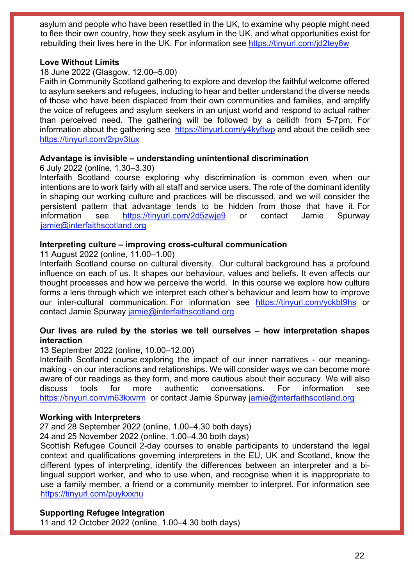asylum and people who have been resettled in the UK, to examine why people might need to flee their own country, how they seek asylum in the UK, and what opportunities exist for rebuilding their lives here in the UK. For information see https://tinyurl.com/jd2tey6w

### **Love Without Limits**

### 18 June 2022 (Glasgow, 12.00–5.00)

Faith in Community Scotland gathering to explore and develop the faithful welcome offered to asylum seekers and refugees, including to hear and better understand the diverse needs of those who have been displaced from their own communities and families, and amplify the voice of refugees and asylum seekers in an unjust world and respond to actual rather than perceived need. The gathering will be followed by a ceilidh from 5-7pm. For information about the gathering see <https://tinyurl.com/y4kyftwp> and about the ceilidh see <https://tinyurl.com/2rpv3tux>

#### **Advantage is invisible – understanding unintentional discrimination**

6 July 2022 (online, 1.30–3.30)

Interfaith Scotland course exploring why discrimination is common even when our intentions are to work fairly with all staff and service users. The role of the dominant identity in shaping our working culture and practices will be discussed, and we will consider the persistent pattern that advantage tends to be hidden from those that have it. For information see <https://tinyurl.com/2d5zwje9> or contact Jamie Spurway [jamie@interfaithscotland.org](mailto:jamie@interfaithscotland.org)

#### **Interpreting culture – improving cross-cultural communication**

11 August 2022 (online, 11.00–1.00)

Interfaith Scotland course on cultural diversity. Our cultural background has a profound influence on each of us. It shapes our behaviour, values and beliefs. It even affects our thought processes and how we perceive the world. In this course we explore how culture forms a lens through which we interpret each other's behaviour and learn how to improve our inter-cultural communication. For information see <https://tinyurl.com/yckbt9hs> or contact Jamie Spurway [jamie@interfaithscotland.org](mailto:jamie@interfaithscotland.org)

### **Our lives are ruled by the stories we tell ourselves – how interpretation shapes interaction**

#### 13 September 2022 (online, 10.00–12.00)

Interfaith Scotland course exploring the impact of our inner narratives - our meaningmaking - on our interactions and relationships. We will consider ways we can become more aware of our readings as they form, and more cautious about their accuracy. We will also discuss tools for more authentic conversations. For information see <https://tinyurl.com/m63kxvrm>or contact Jamie Spurway [jamie@interfaithscotland.org](mailto:jamie@interfaithscotland.org)

### **Working with Interpreters**

27 and 28 September 2022 (online, 1.00–4.30 both days)

24 and 25 November 2022 (online, 1.00–4.30 both days)

Scottish Refugee Council 2-day courses to enable participants to understand the legal context and qualifications governing interpreters in the EU, UK and Scotland, know the different types of interpreting, identify the differences between an interpreter and a bilingual support worker, and who to use when, and recognise when it is inappropriate to use a family member, a friend or a community member to interpret. For information see <https://tinyurl.com/puykxxnu>

### **Supporting Refugee Integration**

11 and 12 October 2022 (online, 1.00–4.30 both days)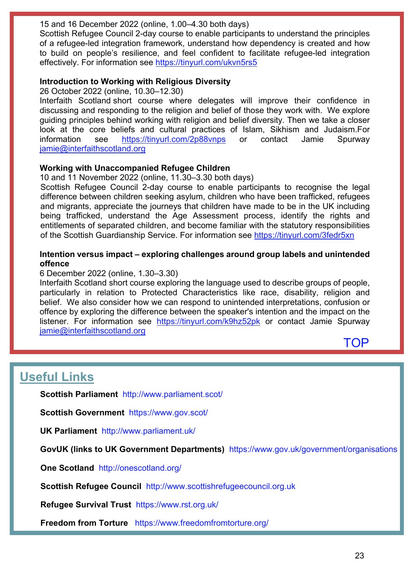15 and 16 December 2022 (online, 1.00–4.30 both days)

Scottish Refugee Council 2-day course to enable participants to understand the principles of a refugee-led integration framework, understand how dependency is created and how to build on people's resilience, and feel confident to facilitate refugee-led integration effectively. For information see<https://tinyurl.com/ukvn5rs5>

# **Introduction to Working with Religious Diversity**

26 October 2022 (online, 10.30–12.30)

Interfaith Scotland short course where delegates will improve their confidence in discussing and responding to the religion and belief of those they work with. We explore guiding principles behind working with religion and belief diversity. Then we take a closer look at the core beliefs and cultural practices of Islam, Sikhism and Judaism.For information see <https://tinyurl.com/2p88vnps> or contact Jamie Spurway [jamie@interfaithscotland.org](mailto:jamie@interfaithscotland.org)

# **Working with Unaccompanied Refugee Children**

10 and 11 November 2022 (online, 11.30–3.30 both days)

Scottish Refugee Council 2-day course to enable participants to recognise the legal difference between children seeking asylum, children who have been trafficked, refugees and migrants, appreciate the journeys that children have made to be in the UK including being trafficked, understand the Age Assessment process, identify the rights and entitlements of separated children, and become familiar with the statutory responsibilities of the Scottish Guardianship Service. For information see<https://tinyurl.com/3fedr5xn>

# **Intention versus impact – exploring challenges around group labels and unintended offence**

### 6 December 2022 (online, 1.30–3.30)

Interfaith Scotland short course exploring the language used to describe groups of people, particularly in relation to Protected Characteristics like race, disability, religion and belief. We also consider how we can respond to unintended interpretations, confusion or offence by exploring the difference between the speaker's intention and the impact on the listener. For information see <https://tinyurl.com/k9hz52pk> or contact Jamie Spurway [jamie@interfaithscotland.org](mailto:jamie@interfaithscotland.org)



# <span id="page-22-0"></span>**Useful Links**

**Scottish Parliament** <http://www.parliament.scot/>

**Scottish Government** <https://www.gov.scot/>

**UK Parliament** <http://www.parliament.uk/>

**GovUK (links to UK Government Departments)** <https://www.gov.uk/government/organisations>

**One Scotland** <http://onescotland.org/>

**Scottish Refugee Council** [http://www.scottishrefugeecouncil.org.uk](http://www.scottishrefugeecouncil.org.uk/) 

**Refugee Survival Trust** <https://www.rst.org.uk/>

**Freedom from Torture** <https://www.freedomfromtorture.org/>